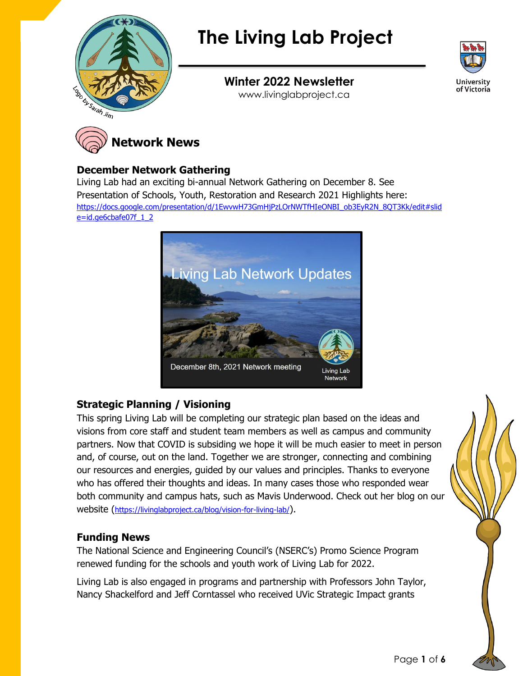

# **The Living Lab Project**



**Winter 2022 Newsletter** www.livinglabproject.ca



#### **December Network Gathering**

Living Lab had an exciting bi-annual Network Gathering on December 8. See Presentation of Schools, Youth, Restoration and Research 2021 Highlights here: [https://docs.google.com/presentation/d/1EwvwH73GmHjPzLOrNWTfHIeONBI\\_ob3EyR2N\\_8QT3Kk/edit#slid](https://docs.google.com/presentation/d/1EwvwH73GmHjPzLOrNWTfHIeONBI_ob3EyR2N_8QT3Kk/edit#slide=id.ge6cbafe07f_1_2) [e=id.ge6cbafe07f\\_1\\_2](https://docs.google.com/presentation/d/1EwvwH73GmHjPzLOrNWTfHIeONBI_ob3EyR2N_8QT3Kk/edit#slide=id.ge6cbafe07f_1_2)



# **Strategic Planning / Visioning**

This spring Living Lab will be completing our strategic plan based on the ideas and visions from core staff and student team members as well as campus and community partners. Now that COVID is subsiding we hope it will be much easier to meet in person and, of course, out on the land. Together we are stronger, connecting and combining our resources and energies, guided by our values and principles. Thanks to everyone who has offered their thoughts and ideas. In many cases those who responded wear both community and campus hats, such as Mavis Underwood. Check out her blog on our website (<https://livinglabproject.ca/blog/vision-for-living-lab/>).

# **Funding News**

The National Science and Engineering Council's (NSERC's) Promo Science Program renewed funding for the schools and youth work of Living Lab for 2022.

Living Lab is also engaged in programs and partnership with Professors John Taylor, Nancy Shackelford and Jeff Corntassel who received UVic Strategic Impact grants

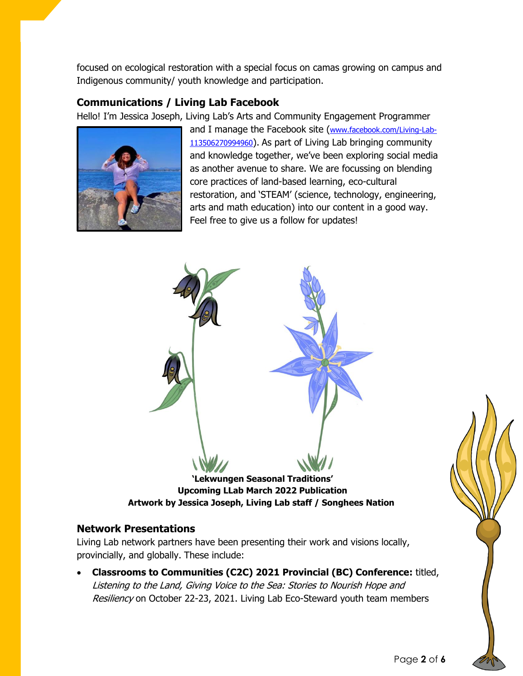focused on ecological restoration with a special focus on camas growing on campus and Indigenous community/ youth knowledge and participation.

# **Communications / Living Lab Facebook**

Hello! I'm Jessica Joseph, Living Lab's Arts and Community Engagement Programmer



and I manage the Facebook site ([www.facebook.com/Living-Lab-](http://www.facebook.com/Living-Lab-113506270994960)[113506270994960](http://www.facebook.com/Living-Lab-113506270994960)). As part of Living Lab bringing community and knowledge together, we've been exploring social media as another avenue to share. We are focussing on blending core practices of land-based learning, eco-cultural restoration, and 'STEAM' (science, technology, engineering, arts and math education) into our content in a good way. Feel free to give us a follow for updates!



# **Network Presentations**

Living Lab network partners have been presenting their work and visions locally, provincially, and globally. These include:

• **Classrooms to Communities (C2C) 2021 Provincial (BC) Conference:** titled, Listening to the Land, Giving Voice to the Sea: Stories to Nourish Hope and Resiliency on October 22-23, 2021. Living Lab Eco-Steward youth team members

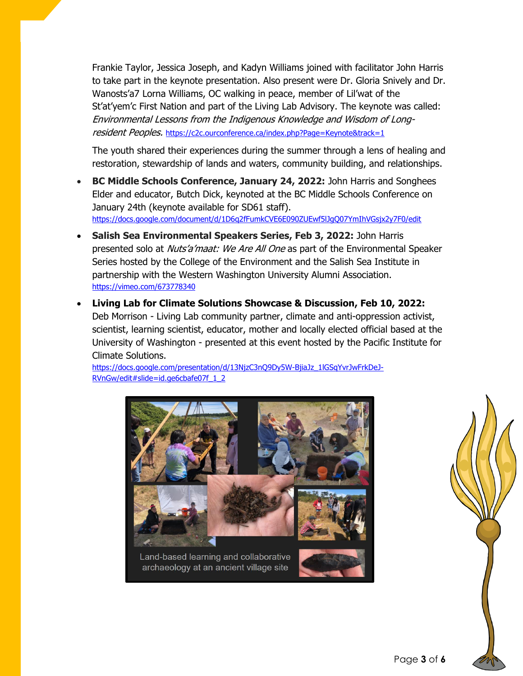Frankie Taylor, Jessica Joseph, and Kadyn Williams joined with facilitator John Harris to take part in the keynote presentation. Also present were Dr. Gloria Snively and Dr. Wanosts'a7 Lorna Williams, OC walking in peace, member of Lil'wat of the St'at'yem'c First Nation and part of the Living Lab Advisory. The keynote was called: Environmental Lessons from the Indigenous Knowledge and Wisdom of Longresident Peoples. <https://c2c.ourconference.ca/index.php?Page=Keynote&track=1>

The youth shared their experiences during the summer through a lens of healing and restoration, stewardship of lands and waters, community building, and relationships.

- **BC Middle Schools Conference, January 24, 2022:** John Harris and Songhees Elder and educator, Butch Dick, keynoted at the BC Middle Schools Conference on January 24th (keynote available for SD61 staff). <https://docs.google.com/document/d/1D6q2fFumkCVE6E090ZUEwf5lJgQ07YmIhVGsjx2y7F0/edit>
- **Salish Sea Environmental Speakers Series, Feb 3, 2022:** John Harris presented solo at Nuts'a'maat: We Are All One as part of the Environmental Speaker Series hosted by the College of the Environment and the Salish Sea Institute in partnership with the Western Washington University Alumni Association. <https://vimeo.com/673778340>
- **Living Lab for Climate Solutions Showcase & Discussion, Feb 10, 2022:**  Deb Morrison - Living Lab community partner, climate and anti-oppression activist, scientist, learning scientist, educator, mother and locally elected official based at the University of Washington - presented at this event hosted by the Pacific Institute for Climate Solutions.

[https://docs.google.com/presentation/d/13NjzC3nQ9Dy5W-BjiaJz\\_1lGSqYvrJwFrkDeJ-](https://docs.google.com/presentation/d/13NjzC3nQ9Dy5W-BjiaJz_1lGSqYvrJwFrkDeJ-RVnGw/edit#slide=id.ge6cbafe07f_1_2)[RVnGw/edit#slide=id.ge6cbafe07f\\_1\\_2](https://docs.google.com/presentation/d/13NjzC3nQ9Dy5W-BjiaJz_1lGSqYvrJwFrkDeJ-RVnGw/edit#slide=id.ge6cbafe07f_1_2)



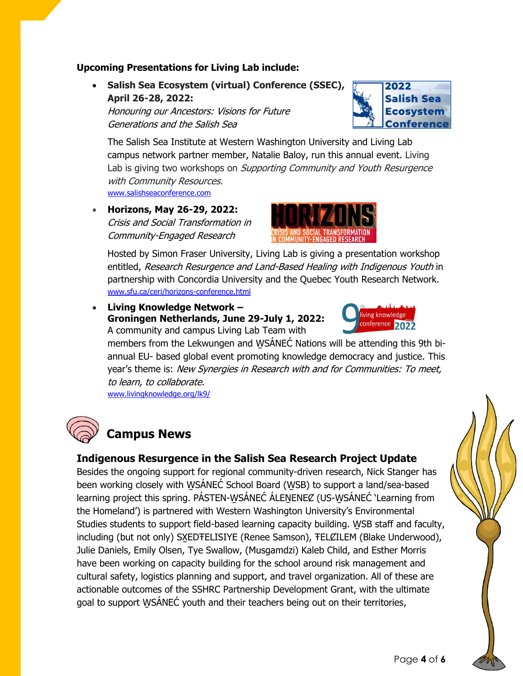#### **Upcoming Presentations for Living Lab include:**

• **Salish Sea Ecosystem (virtual) Conference (SSEC), April 26-28, 2022:**

Honouring our Ancestors: Visions for Future Generations and the Salish Sea



The Salish Sea Institute at Western Washington University and Living Lab campus network partner member, Natalie Baloy, run this annual event. Living Lab is giving two workshops on *Supporting Community and Youth Resurgence* with Community Resources. [www.salishseaconference.com](http://www.salishseaconference.com/)

• **Horizons, May 26-29, 2022:** Crisis and Social Transformation in Community-Engaged Research



Hosted by Simon Fraser University, Living Lab is giving a presentation workshop entitled, Research Resurgence and Land-Based Healing with Indigenous Youth in partnership with Concordia University and the Quebec Youth Research Network. [www.sfu.ca/ceri/horizons-conference.html](http://www.sfu.ca/ceri/horizons-conference.html)

• **Living Knowledge Network – Groningen Netherlands, June 29-July 1, 2022:** A community and campus Living Lab Team with



members from the Lekwungen and WSÁNEC Nations will be attending this 9th biannual EU- based global event promoting knowledge democracy and justice. This year's theme is: New Synergies in Research with and for Communities: To meet, to learn, to collaborate.

[www.livingknowledge.org/lk9/](http://www.livingknowledge.org/lk9/)

# **Campus News**

# **Indigenous Resurgence in the Salish Sea Research Project Update**

Besides the ongoing support for regional community-driven research, Nick Stanger has been working closely with WSÁNEĆ School Board (WSB) to support a land/sea-based learning project this spring. PÁSTEN-WSÁNEĆ ÁLENENEỢ (US-WSÁNEĆ 'Learning from the Homeland') is partnered with Western Washington University's Environmental Studies students to support field-based learning capacity building. WSB staff and faculty, including (but not only) SXEDTELISIYE (Renee Samson), TEL CILEM (Blake Underwood), Julie Daniels, Emily Olsen, Tye Swallow, (Musgamdzi) Kaleb Child, and Esther Morris have been working on capacity building for the school around risk management and cultural safety, logistics planning and support, and travel organization. All of these are actionable outcomes of the SSHRC Partnership Development Grant, with the ultimate goal to support W̱SÁNEĆ youth and their teachers being out on their territories,

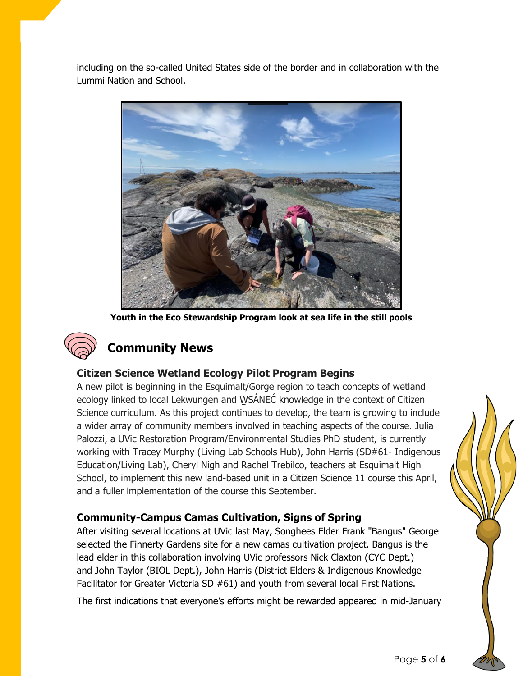including on the so-called United States side of the border and in collaboration with the Lummi Nation and School.



**Youth in the Eco Stewardship Program look at sea life in the still pools**



# **Community News**

# **Citizen Science Wetland Ecology Pilot Program Begins**

A new pilot is beginning in the Esquimalt/Gorge region to teach concepts of wetland ecology linked to local Lekwungen and W̱SÁNEĆ knowledge in the context of Citizen Science curriculum. As this project continues to develop, the team is growing to include a wider array of community members involved in teaching aspects of the course. Julia Palozzi, a UVic Restoration Program/Environmental Studies PhD student, is currently working with Tracey Murphy (Living Lab Schools Hub), John Harris (SD#61- Indigenous Education/Living Lab), Cheryl Nigh and Rachel Trebilco, teachers at Esquimalt High School, to implement this new land-based unit in a Citizen Science 11 course this April, and a fuller implementation of the course this September.

# **Community-Campus Camas Cultivation, Signs of Spring**

After visiting several locations at UVic last May, Songhees Elder Frank "Bangus" George selected the Finnerty Gardens site for a new camas cultivation project. Bangus is the lead elder in this collaboration involving UVic professors Nick Claxton (CYC Dept.) and John Taylor (BIOL Dept.), John Harris (District Elders & Indigenous Knowledge Facilitator for Greater Victoria SD #61) and youth from several local First Nations.

The first indications that everyone's efforts might be rewarded appeared in mid-January